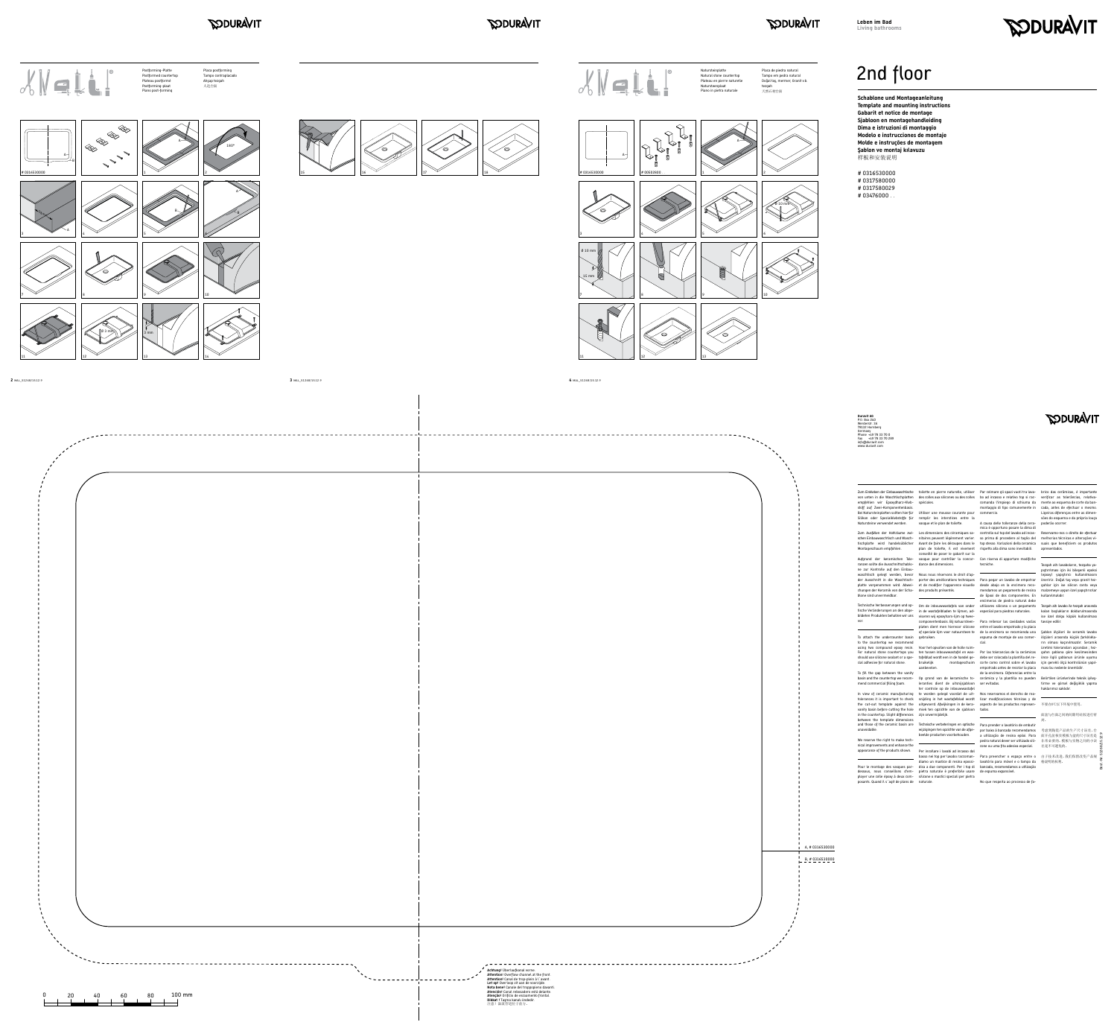



## **PODURAVIT**

### *SODURAVIT*

# *SODURAVIT*







mend commercial filling foam. leranties dient de uitsnijsjabloon ser evitadas. ter controle op de inbouwwastafel <u> 1989 - Johann Stein, fransk politik (</u>

Zum Einkleben der Einbauwaschtische btoilette en pierre naturelle, utiliser Par colmare gli spazi vuoti tra lava-brico das cerâmicas, é importante von unten in die Waschtischplatten – des colles aux silicones ou des colles – bo ad incasso e relativo top si rac- – verificar -as -tolerâncias, relativaempfehlen wir Epoxydharz-Kleb-spéciales. stoff auf Zwei-Komponentenbasis. Bei Natursteinplatten sollten hierfür Utiliser une mousse courante pour commercio. Silikon oder Spezialklebstoffe für remplir les interstices entre la

Aufgrund der keramischen Tole-vasque pour contrôler la concor-Con riserva di apportare modifiche ranzen sollte die Ausschnittschablo-dance des dimensions. tecniche. ne zur Kontrolle auf den Einbauwaschtisch gelegt werden, bevor Nous nous réservons le droit d'apblone sind unvermeidbar.

Technische Verbesserungen und op-Om de inbouwwastafels van onder utilizares silicona o un pegamento Tezgah altı lavabo ile tezgah arasında tische Veränderungen an den abge-in de wastafelbladen te lijmen, ad-especiial para piedras naturales. kalan boşlukların doldurulmasında bildeten Produkten behalten wir uns viseren wij epoxyhars-lijm op tweevor.

To fill the gap between the vanity

Pour le montage des vasques par- dica a due componenti. Per i top di bancada, recomendamos a utilização dessous, nous conseillons d'em-pietra naturale è preferibile usare de espuma expansível. ployer une colle époxy à deux com-silicone o mastici speciali per pietra posants. Quand il s´agit de plans de naturale.

Natursteine verwendet werden. bie vasque et le plan de toilette. The causa delle tolleranze della cera-poderão ocorrer.

In view of ceramic manufacturing te worden gelegd voordat de uit-Nos reservamos el derecho de reatolerances it is important to check snijding in het wastafelblad wordt izar modificaciones técnicas y de the cut-out template against the uitgevoerd. Afwijkingen in de kera- aspecto de los productos represen- 不要在0℃以下环境中使用。 vanity basin before cutting the hole miek ten opzichte van de sjabloon tados. in the countertop. Slight differences zijn onvermijdelijk. between the template dimensions and those of the ceramic basin are Technische verbeteringen en optische Para prender o lavatório de embutir unavoidable.

Montageschaum empfohlen.  $\qquad \qquad$  plan de toilette, il est vivement crispetto alla dima sono inevitabili. apresentados. mica è opportuno posare la dima di

conseillé de poser le gabarit sur la

der Ausschnitt in die Waschtisch-porter des améliorations techniques Para pegar un lavabo de empotrar öneririz. Doğal taş veya granit tezplatte vorgenommen wird. Abwei- et de modifier l'apparence visuelle desde abajo en la encimera reco- gahlar için ise silicon conta veya chungen der Keramik von der Scha-des produits présentés. mendamos un pegamento de resina malzemeye uygun özel yapıştırıcılar de Epoxi de dos componentes. En kullanılmalıdır. encimeras de piedra natural debe

We reserve the right to make technical improvements and enhance the appearance of the products shown. Per incollare i lavabi ad incasso dal

cial adhesive for natural stone. bruikelijk montageschuim corte como control sobre el lavabo için gerekli ölçü kontrolünün yapılrın olması kaçınılmazdır. Seramik üretimi toleransları açısından ; tez-

aanbevolen.

componentenbasis. Bij natuursteen-Para rellenar las cavidades vacías tavsiye edilir. platen dient men hiervoor silicone entre el lavabo empotrado y la placa of speciale lijm voor natuursteen te de la encimera se recomienda una Şablon ölçüleri ile seramik lavabo espuma de montaje de uso comer-ölçüleri arasında küçük farklılıklacial.

To attach the undercounter basin gebruiken. to the countertop we recommend using two compound epoxy resin. Voor het opvullen van de holle ruim-For natural stone countertops you ten tussen inbouwwastafel en was- Por las tolerancias de la cerámicas gahin şablona göre kesilmesinden should use silicone sealant or a spe-tafelblad wordt een in de handel ge-debe ser colocada la plantilla del re-önce ilgili şablonun ürünle uyumu

basin and the countertop we recom-Op grond van de keramische to-cerámica y la plantilla no pueden Belirtilen ürünlerinde teknik iyileştirme ve görsel değişiklik yapma haklarımız saklıdır.

comanda l'impiego di schiuma da mente ao esquema de corte da banmontaggio di tipo comunemente in cada, antes de efectuar o mesmo.

empotrado antes de recotar la placa ması bu nedenle önemlidir. de la encimera. Diferencias entre la

**Contract Contract Contract** 

wijzigingen ten opzichte van de afge-por baixo à bancada recomendamos 考虑到陶瓷产品的生产尺寸误差,台 beelde producten voorbehouden. a utilização de resina epóxi. Para 面开孔前核实模板与盆的尺寸误差是 pedra natural dever ser utilizado sili-非常必要的。模板与实物之间的小误 cone ou uma fita adesiva especial. 差是不可避免的。

basso nei top per lavabo raccoman-Para preencher o espaço entre o 由于技术改进,我们保留改变产品规 diamo un mastice di resina epossi-lavatório para móvel e o tampo da 格说明的权利。

No que respeita ao processo de fa-



Ligeiras diferenças entre as dimensões do esquema e da própria louça

Zum Ausfüllen der Hohlräume zwi- Les dimensions des céramiques sa- controllo sul top del lavabo ad incas- Reservamo-nos o direito de efectuar schen Einbauwaschtisch und Wasch-nitaires peuvent légèrement varier. so prima di procedere al taglio del melhorias técnicas e alterações vitischplatte wird handelsüblicher Avant de faire les découpes dans le topstesso. Variazioni della ceramica —suais que beneficiem os produtos

> Tezgah altı lavaboların, tezgaha yapıştırılması için iki bileşenli epoksi (epoxy) yapıştırıcı kullanılmasını

ise özel dolgu köpük kullanılması

面盆与台面之间的间隙用硅胶进行密 封。

# 2nd floor



**Schablone und Montageanleitung Template and mounting instructions Gabarit et notice de montage Sjabloon en montagehandleiding Dima e istruzioni di montaggio Modelo e instrucciones de montaje Molde e instruções de montagem Şablon ve montaj kılavuzu** 样板和安装说明

# 0316530000 # 0317580000 # 0317580029 # 03476000 . .

Best.-Nr. 51268/15.12.9

**2** MAL\_51268/15.12.9 **3** MAL\_51268/15.12.9 **4** MAL\_51268/15.12.9